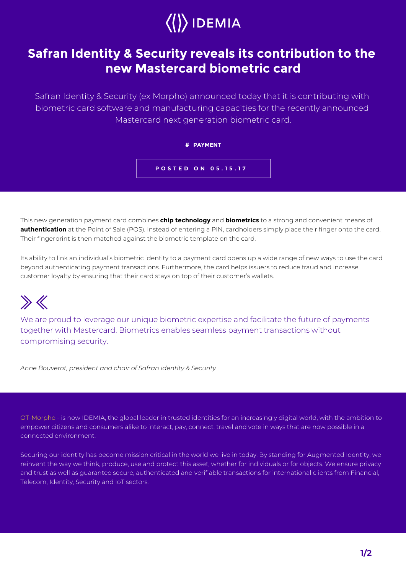

## **Safran Identity & Security reveals its contribution to the new Mastercard biometric card**

Safran Identity & Security (ex Morpho) announced today that it is contributing with biometric card software and manufacturing capacities for the recently announced Mastercard next generation biometric card.

**# PAYMENT**

**POSTED ON 05.15.17**

This new generation payment card combines **chip technology** and **biometrics** to a strong and convenient means of **authentication** at the Point of Sale (POS). Instead of entering a PIN, cardholders simply place their finger onto the card. Their fingerprint is then matched against the biometric template on the card.

Its ability to link an individual's biometric identity to a payment card opens up a wide range of new ways to use the card beyond authenticating payment transactions. Furthermore, the card helps issuers to reduce fraud and increase customer loyalty by ensuring that their card stays on top of their customer's wallets.

## $\gg K$

We are proud to leverage our unique biometric expertise and facilitate the future of payments together with Mastercard. Biometrics enables seamless payment transactions without compromising security.

*Anne Bouverot, president and chair of Safran Identity & Security*

OT-Morpho - is now IDEMIA, the global leader in trusted identities for an increasingly digital world, with the ambition to empower citizens and consumers alike to interact, pay, connect, travel and vote in ways that are now possible in a connected environment.

Securing our identity has become mission critical in the world we live in today. By standing for Augmented Identity, we reinvent the way we think, produce, use and protect this asset, whether for individuals or for objects. We ensure privacy and trust as well as guarantee secure, authenticated and verifiable transactions for international clients from Financial, Telecom, Identity, Security and IoT sectors.